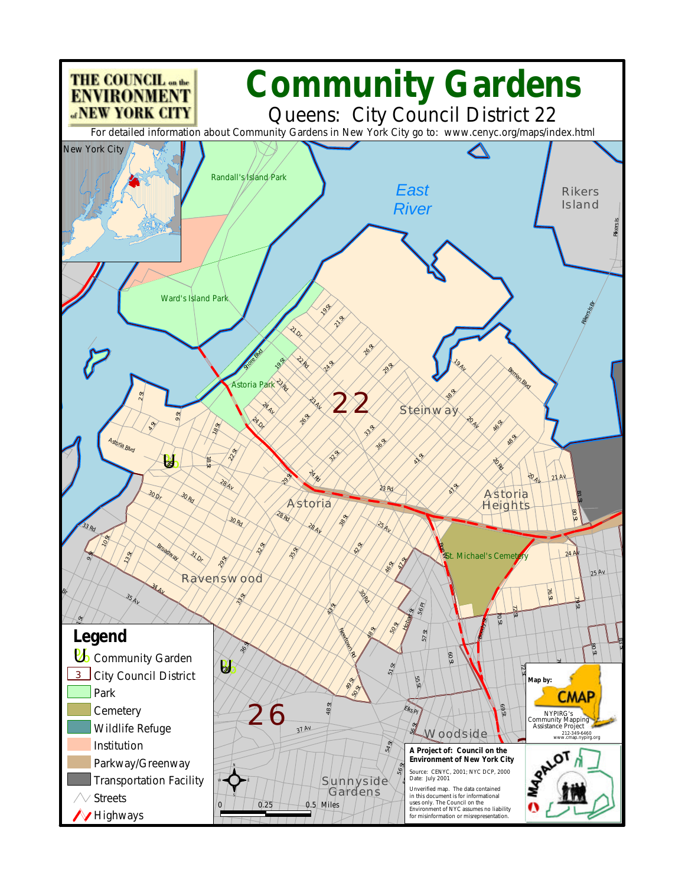